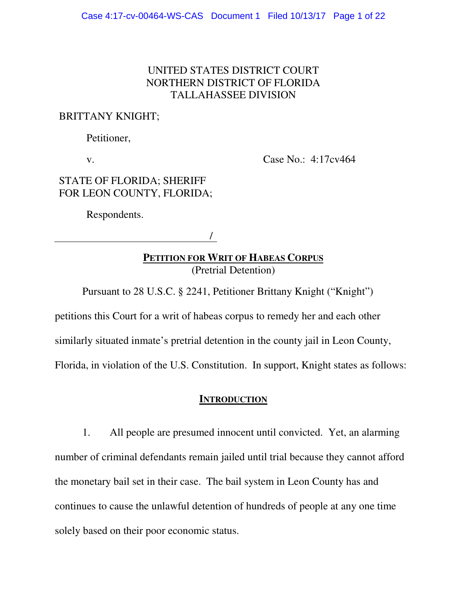## UNITED STATES DISTRICT COURT NORTHERN DISTRICT OF FLORIDA TALLAHASSEE DIVISION

## BRITTANY KNIGHT;

Petitioner,

v.

Case No.: 4:17cv464

## STATE OF FLORIDA; SHERIFF FOR LEON COUNTY, FLORIDA;

Respondents.

/

## **PETITION FOR WRIT OF HABEAS CORPUS** (Pretrial Detention)

Pursuant to 28 U.S.C. § 2241, Petitioner Brittany Knight ("Knight")

petitions this Court for a writ of habeas corpus to remedy her and each other similarly situated inmate's pretrial detention in the county jail in Leon County, Florida, in violation of the U.S. Constitution. In support, Knight states as follows:

## **INTRODUCTION**

1. All people are presumed innocent until convicted. Yet, an alarming number of criminal defendants remain jailed until trial because they cannot afford the monetary bail set in their case. The bail system in Leon County has and continues to cause the unlawful detention of hundreds of people at any one time solely based on their poor economic status.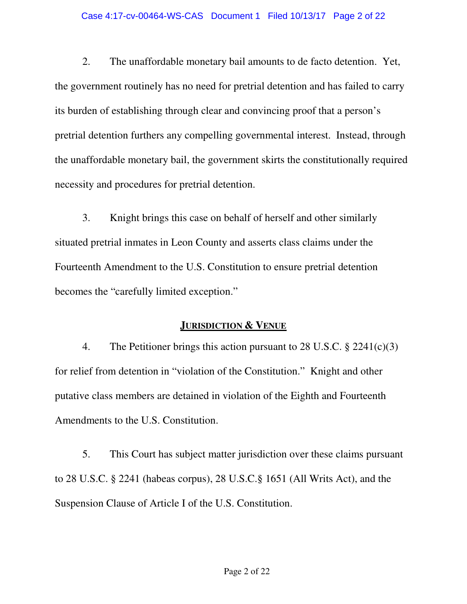#### Case 4:17-cv-00464-WS-CAS Document 1 Filed 10/13/17 Page 2 of 22

2. The unaffordable monetary bail amounts to de facto detention. Yet, the government routinely has no need for pretrial detention and has failed to carry its burden of establishing through clear and convincing proof that a person's pretrial detention furthers any compelling governmental interest. Instead, through the unaffordable monetary bail, the government skirts the constitutionally required necessity and procedures for pretrial detention.

3. Knight brings this case on behalf of herself and other similarly situated pretrial inmates in Leon County and asserts class claims under the Fourteenth Amendment to the U.S. Constitution to ensure pretrial detention becomes the "carefully limited exception."

### **JURISDICTION & VENUE**

4. The Petitioner brings this action pursuant to 28 U.S.C. § 2241(c)(3) for relief from detention in "violation of the Constitution." Knight and other putative class members are detained in violation of the Eighth and Fourteenth Amendments to the U.S. Constitution.

5. This Court has subject matter jurisdiction over these claims pursuant to 28 U.S.C. § 2241 (habeas corpus), 28 U.S.C.§ 1651 (All Writs Act), and the Suspension Clause of Article I of the U.S. Constitution.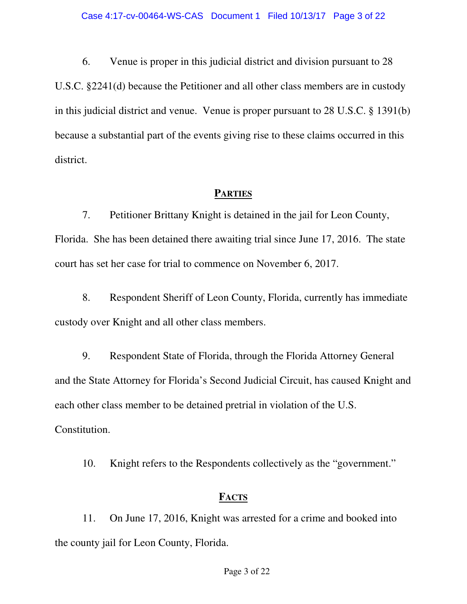6. Venue is proper in this judicial district and division pursuant to 28 U.S.C. §2241(d) because the Petitioner and all other class members are in custody in this judicial district and venue. Venue is proper pursuant to 28 U.S.C. § 1391(b) because a substantial part of the events giving rise to these claims occurred in this district.

### **PARTIES**

7. Petitioner Brittany Knight is detained in the jail for Leon County, Florida. She has been detained there awaiting trial since June 17, 2016. The state court has set her case for trial to commence on November 6, 2017.

8. Respondent Sheriff of Leon County, Florida, currently has immediate custody over Knight and all other class members.

9. Respondent State of Florida, through the Florida Attorney General and the State Attorney for Florida's Second Judicial Circuit, has caused Knight and each other class member to be detained pretrial in violation of the U.S. Constitution.

10. Knight refers to the Respondents collectively as the "government."

### **FACTS**

11. On June 17, 2016, Knight was arrested for a crime and booked into the county jail for Leon County, Florida.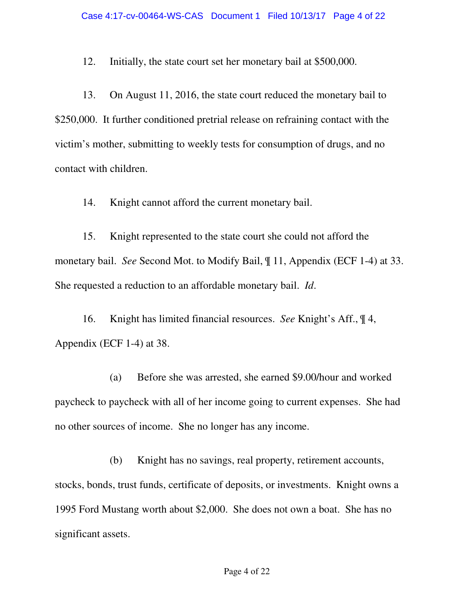12. Initially, the state court set her monetary bail at \$500,000.

13. On August 11, 2016, the state court reduced the monetary bail to \$250,000. It further conditioned pretrial release on refraining contact with the victim's mother, submitting to weekly tests for consumption of drugs, and no contact with children.

14. Knight cannot afford the current monetary bail.

15. Knight represented to the state court she could not afford the monetary bail. *See* Second Mot. to Modify Bail, ¶ 11, Appendix (ECF 1-4) at 33. She requested a reduction to an affordable monetary bail. *Id*.

16. Knight has limited financial resources. *See* Knight's Aff., ¶ 4, Appendix (ECF 1-4) at 38.

(a) Before she was arrested, she earned \$9.00/hour and worked paycheck to paycheck with all of her income going to current expenses. She had no other sources of income. She no longer has any income.

(b) Knight has no savings, real property, retirement accounts, stocks, bonds, trust funds, certificate of deposits, or investments. Knight owns a 1995 Ford Mustang worth about \$2,000. She does not own a boat. She has no significant assets.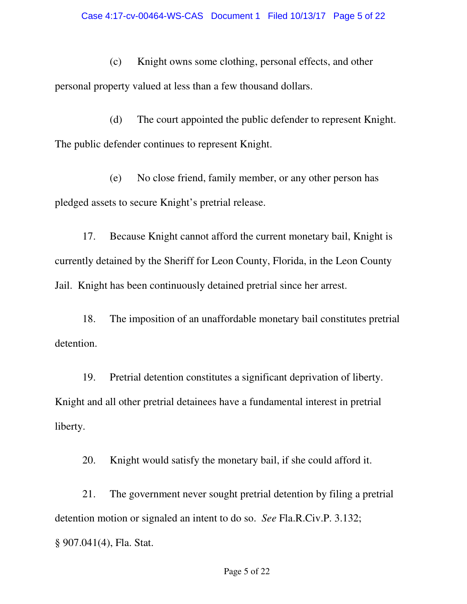(c) Knight owns some clothing, personal effects, and other personal property valued at less than a few thousand dollars.

(d) The court appointed the public defender to represent Knight. The public defender continues to represent Knight.

(e) No close friend, family member, or any other person has pledged assets to secure Knight's pretrial release.

17. Because Knight cannot afford the current monetary bail, Knight is currently detained by the Sheriff for Leon County, Florida, in the Leon County Jail. Knight has been continuously detained pretrial since her arrest.

18. The imposition of an unaffordable monetary bail constitutes pretrial detention.

19. Pretrial detention constitutes a significant deprivation of liberty. Knight and all other pretrial detainees have a fundamental interest in pretrial liberty.

20. Knight would satisfy the monetary bail, if she could afford it.

21. The government never sought pretrial detention by filing a pretrial detention motion or signaled an intent to do so. *See* Fla.R.Civ.P. 3.132; § 907.041(4), Fla. Stat.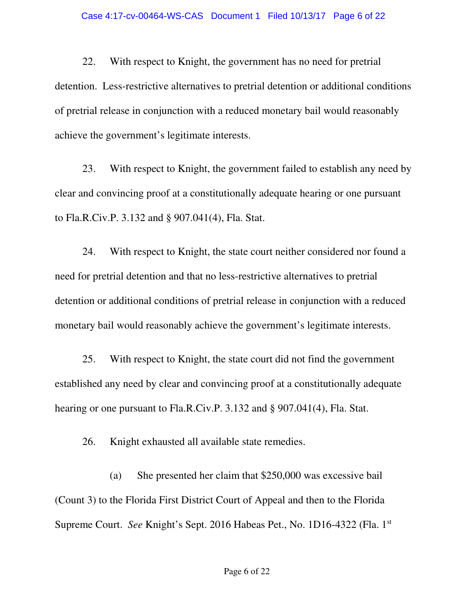22. With respect to Knight, the government has no need for pretrial detention. Less-restrictive alternatives to pretrial detention or additional conditions of pretrial release in conjunction with a reduced monetary bail would reasonably achieve the government's legitimate interests.

23. With respect to Knight, the government failed to establish any need by clear and convincing proof at a constitutionally adequate hearing or one pursuant to Fla.R.Civ.P. 3.132 and § 907.041(4), Fla. Stat.

24. With respect to Knight, the state court neither considered nor found a need for pretrial detention and that no less-restrictive alternatives to pretrial detention or additional conditions of pretrial release in conjunction with a reduced monetary bail would reasonably achieve the government's legitimate interests.

25. With respect to Knight, the state court did not find the government established any need by clear and convincing proof at a constitutionally adequate hearing or one pursuant to Fla.R.Civ.P. 3.132 and § 907.041(4), Fla. Stat.

26. Knight exhausted all available state remedies.

(a) She presented her claim that \$250,000 was excessive bail (Count 3) to the Florida First District Court of Appeal and then to the Florida Supreme Court. *See* Knight's Sept. 2016 Habeas Pet., No. 1D16-4322 (Fla. 1st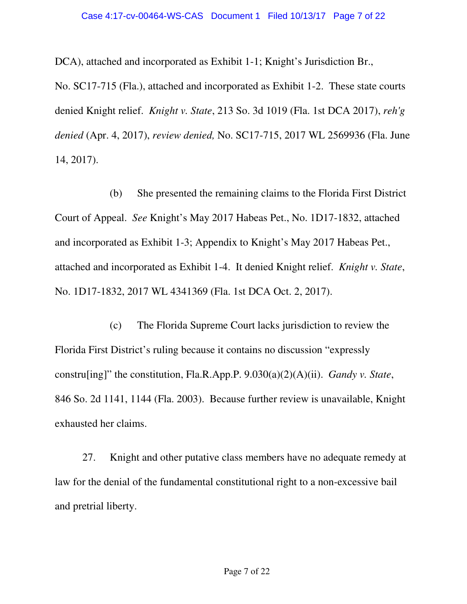DCA), attached and incorporated as Exhibit 1-1; Knight's Jurisdiction Br.,

No. SC17-715 (Fla.), attached and incorporated as Exhibit 1-2. These state courts denied Knight relief. *Knight v. State*, 213 So. 3d 1019 (Fla. 1st DCA 2017), *reh'g denied* (Apr. 4, 2017), *review denied,* No. SC17-715, 2017 WL 2569936 (Fla. June 14, 2017).

(b) She presented the remaining claims to the Florida First District Court of Appeal. *See* Knight's May 2017 Habeas Pet., No. 1D17-1832, attached and incorporated as Exhibit 1-3; Appendix to Knight's May 2017 Habeas Pet., attached and incorporated as Exhibit 1-4. It denied Knight relief. *Knight v. State*, No. 1D17-1832, 2017 WL 4341369 (Fla. 1st DCA Oct. 2, 2017).

(c) The Florida Supreme Court lacks jurisdiction to review the Florida First District's ruling because it contains no discussion "expressly constru[ing]" the constitution, Fla.R.App.P. 9.030(a)(2)(A)(ii). *Gandy v. State*, 846 So. 2d 1141, 1144 (Fla. 2003). Because further review is unavailable, Knight exhausted her claims.

27. Knight and other putative class members have no adequate remedy at law for the denial of the fundamental constitutional right to a non-excessive bail and pretrial liberty.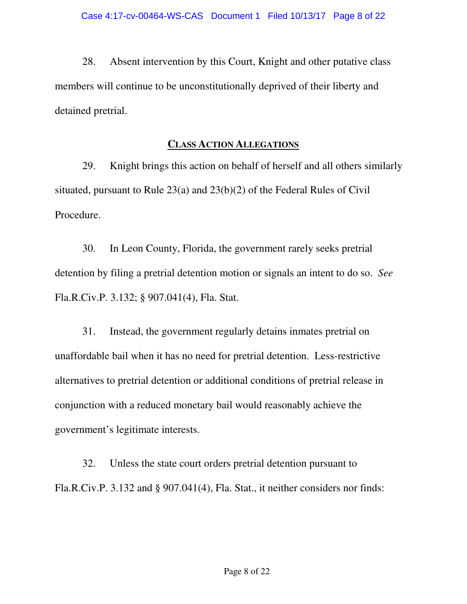28. Absent intervention by this Court, Knight and other putative class members will continue to be unconstitutionally deprived of their liberty and detained pretrial.

### **CLASS ACTION ALLEGATIONS**

29. Knight brings this action on behalf of herself and all others similarly situated, pursuant to Rule 23(a) and 23(b)(2) of the Federal Rules of Civil Procedure.

30. In Leon County, Florida, the government rarely seeks pretrial detention by filing a pretrial detention motion or signals an intent to do so. *See*  Fla.R.Civ.P. 3.132; § 907.041(4), Fla. Stat.

31. Instead, the government regularly detains inmates pretrial on unaffordable bail when it has no need for pretrial detention. Less-restrictive alternatives to pretrial detention or additional conditions of pretrial release in conjunction with a reduced monetary bail would reasonably achieve the government's legitimate interests.

32. Unless the state court orders pretrial detention pursuant to Fla.R.Civ.P. 3.132 and § 907.041(4), Fla. Stat., it neither considers nor finds: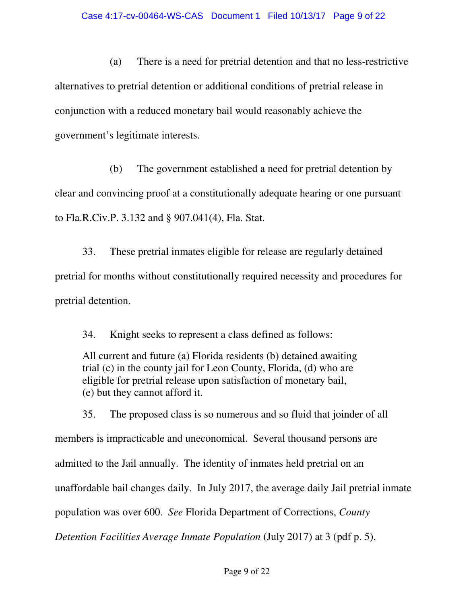(a) There is a need for pretrial detention and that no less-restrictive alternatives to pretrial detention or additional conditions of pretrial release in conjunction with a reduced monetary bail would reasonably achieve the government's legitimate interests.

(b) The government established a need for pretrial detention by clear and convincing proof at a constitutionally adequate hearing or one pursuant to Fla.R.Civ.P. 3.132 and § 907.041(4), Fla. Stat.

33. These pretrial inmates eligible for release are regularly detained pretrial for months without constitutionally required necessity and procedures for pretrial detention.

34. Knight seeks to represent a class defined as follows:

All current and future (a) Florida residents (b) detained awaiting trial (c) in the county jail for Leon County, Florida, (d) who are eligible for pretrial release upon satisfaction of monetary bail, (e) but they cannot afford it.

35. The proposed class is so numerous and so fluid that joinder of all members is impracticable and uneconomical. Several thousand persons are admitted to the Jail annually. The identity of inmates held pretrial on an unaffordable bail changes daily. In July 2017, the average daily Jail pretrial inmate population was over 600. *See* Florida Department of Corrections, *County Detention Facilities Average Inmate Population* (July 2017) at 3 (pdf p. 5),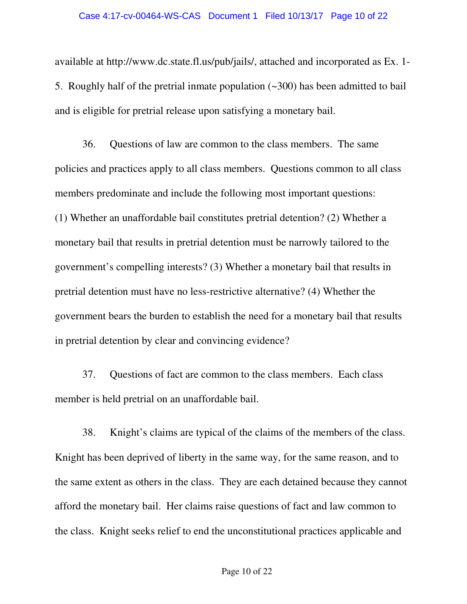#### Case 4:17-cv-00464-WS-CAS Document 1 Filed 10/13/17 Page 10 of 22

available at http://www.dc.state.fl.us/pub/jails/, attached and incorporated as Ex. 1- 5. Roughly half of the pretrial inmate population (~300) has been admitted to bail and is eligible for pretrial release upon satisfying a monetary bail.

36. Questions of law are common to the class members. The same policies and practices apply to all class members. Questions common to all class members predominate and include the following most important questions: (1) Whether an unaffordable bail constitutes pretrial detention? (2) Whether a monetary bail that results in pretrial detention must be narrowly tailored to the government's compelling interests? (3) Whether a monetary bail that results in pretrial detention must have no less-restrictive alternative? (4) Whether the government bears the burden to establish the need for a monetary bail that results in pretrial detention by clear and convincing evidence?

37. Questions of fact are common to the class members. Each class member is held pretrial on an unaffordable bail.

38. Knight's claims are typical of the claims of the members of the class. Knight has been deprived of liberty in the same way, for the same reason, and to the same extent as others in the class. They are each detained because they cannot afford the monetary bail. Her claims raise questions of fact and law common to the class. Knight seeks relief to end the unconstitutional practices applicable and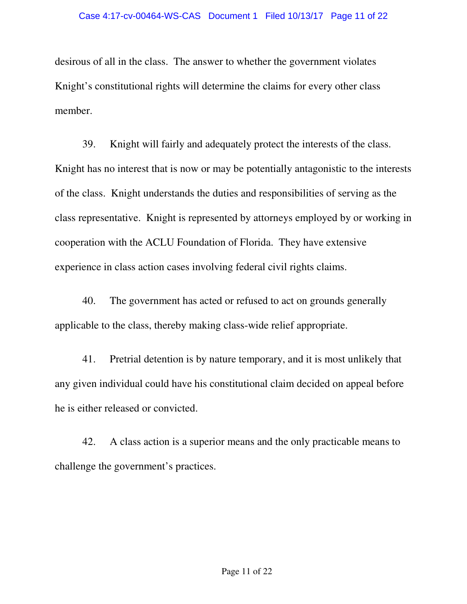#### Case 4:17-cv-00464-WS-CAS Document 1 Filed 10/13/17 Page 11 of 22

desirous of all in the class. The answer to whether the government violates Knight's constitutional rights will determine the claims for every other class member.

39. Knight will fairly and adequately protect the interests of the class. Knight has no interest that is now or may be potentially antagonistic to the interests of the class. Knight understands the duties and responsibilities of serving as the class representative. Knight is represented by attorneys employed by or working in cooperation with the ACLU Foundation of Florida. They have extensive experience in class action cases involving federal civil rights claims.

40. The government has acted or refused to act on grounds generally applicable to the class, thereby making class-wide relief appropriate.

41. Pretrial detention is by nature temporary, and it is most unlikely that any given individual could have his constitutional claim decided on appeal before he is either released or convicted.

42. A class action is a superior means and the only practicable means to challenge the government's practices.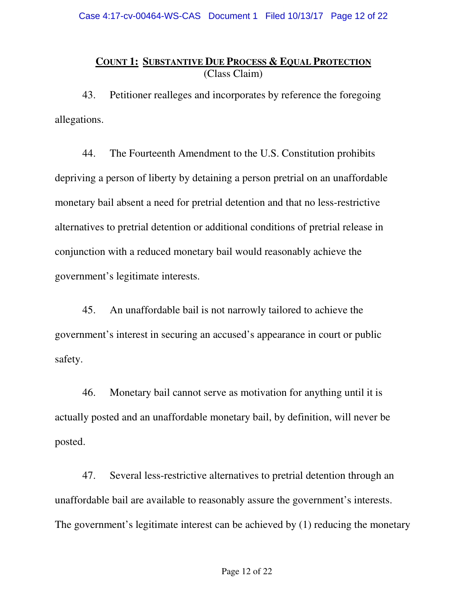## **COUNT 1: SUBSTANTIVE DUE PROCESS & EQUAL PROTECTION** (Class Claim)

43. Petitioner realleges and incorporates by reference the foregoing allegations.

44. The Fourteenth Amendment to the U.S. Constitution prohibits depriving a person of liberty by detaining a person pretrial on an unaffordable monetary bail absent a need for pretrial detention and that no less-restrictive alternatives to pretrial detention or additional conditions of pretrial release in conjunction with a reduced monetary bail would reasonably achieve the government's legitimate interests.

45. An unaffordable bail is not narrowly tailored to achieve the government's interest in securing an accused's appearance in court or public safety.

46. Monetary bail cannot serve as motivation for anything until it is actually posted and an unaffordable monetary bail, by definition, will never be posted.

47. Several less-restrictive alternatives to pretrial detention through an unaffordable bail are available to reasonably assure the government's interests. The government's legitimate interest can be achieved by (1) reducing the monetary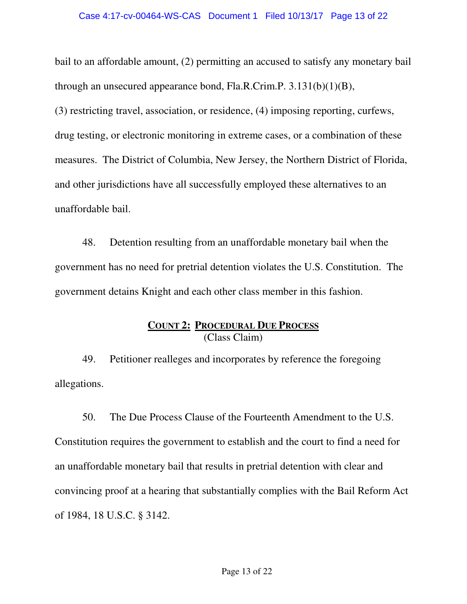bail to an affordable amount, (2) permitting an accused to satisfy any monetary bail through an unsecured appearance bond, Fla.R.Crim.P. 3.131(b)(1)(B), (3) restricting travel, association, or residence, (4) imposing reporting, curfews, drug testing, or electronic monitoring in extreme cases, or a combination of these measures. The District of Columbia, New Jersey, the Northern District of Florida, and other jurisdictions have all successfully employed these alternatives to an unaffordable bail.

48. Detention resulting from an unaffordable monetary bail when the government has no need for pretrial detention violates the U.S. Constitution. The government detains Knight and each other class member in this fashion.

## **COUNT 2: PROCEDURAL DUE PROCESS** (Class Claim)

49. Petitioner realleges and incorporates by reference the foregoing allegations.

50. The Due Process Clause of the Fourteenth Amendment to the U.S. Constitution requires the government to establish and the court to find a need for an unaffordable monetary bail that results in pretrial detention with clear and convincing proof at a hearing that substantially complies with the Bail Reform Act of 1984, 18 U.S.C. § 3142.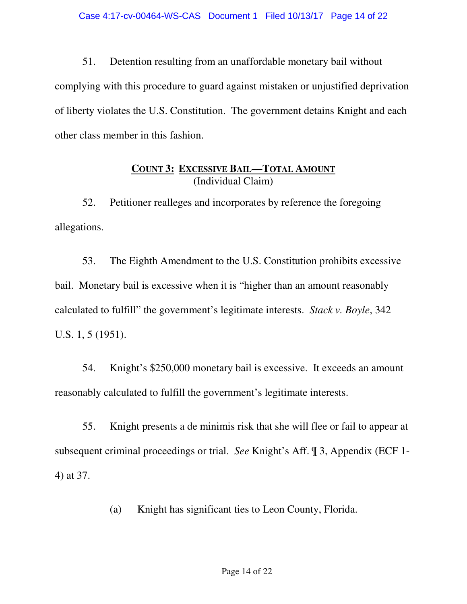51. Detention resulting from an unaffordable monetary bail without complying with this procedure to guard against mistaken or unjustified deprivation of liberty violates the U.S. Constitution. The government detains Knight and each other class member in this fashion.

# **COUNT 3: EXCESSIVE BAIL—TOTAL AMOUNT**  (Individual Claim)

52. Petitioner realleges and incorporates by reference the foregoing allegations.

53. The Eighth Amendment to the U.S. Constitution prohibits excessive bail. Monetary bail is excessive when it is "higher than an amount reasonably calculated to fulfill" the government's legitimate interests. *Stack v. Boyle*, 342 U.S. 1, 5 (1951).

54. Knight's \$250,000 monetary bail is excessive. It exceeds an amount reasonably calculated to fulfill the government's legitimate interests.

55. Knight presents a de minimis risk that she will flee or fail to appear at subsequent criminal proceedings or trial. *See* Knight's Aff. ¶ 3, Appendix (ECF 1- 4) at 37.

(a) Knight has significant ties to Leon County, Florida.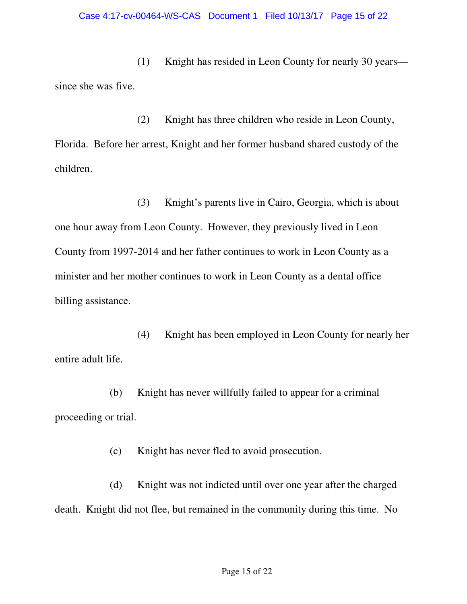(1) Knight has resided in Leon County for nearly 30 years since she was five.

(2) Knight has three children who reside in Leon County, Florida. Before her arrest, Knight and her former husband shared custody of the children.

(3) Knight's parents live in Cairo, Georgia, which is about one hour away from Leon County. However, they previously lived in Leon County from 1997-2014 and her father continues to work in Leon County as a minister and her mother continues to work in Leon County as a dental office billing assistance.

(4) Knight has been employed in Leon County for nearly her entire adult life.

(b) Knight has never willfully failed to appear for a criminal proceeding or trial.

(c) Knight has never fled to avoid prosecution.

(d) Knight was not indicted until over one year after the charged death. Knight did not flee, but remained in the community during this time. No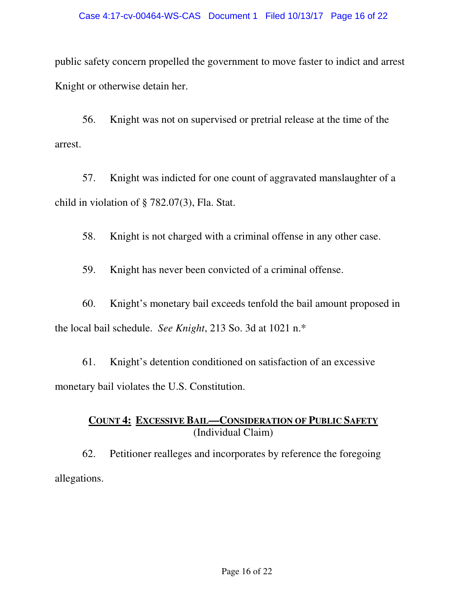public safety concern propelled the government to move faster to indict and arrest Knight or otherwise detain her.

56. Knight was not on supervised or pretrial release at the time of the arrest.

57. Knight was indicted for one count of aggravated manslaughter of a child in violation of § 782.07(3), Fla. Stat.

58. Knight is not charged with a criminal offense in any other case.

59. Knight has never been convicted of a criminal offense.

60. Knight's monetary bail exceeds tenfold the bail amount proposed in the local bail schedule. *See Knight*, 213 So. 3d at 1021 n.\*

61. Knight's detention conditioned on satisfaction of an excessive monetary bail violates the U.S. Constitution.

# **COUNT 4: EXCESSIVE BAIL—CONSIDERATION OF PUBLIC SAFETY** (Individual Claim)

62. Petitioner realleges and incorporates by reference the foregoing allegations.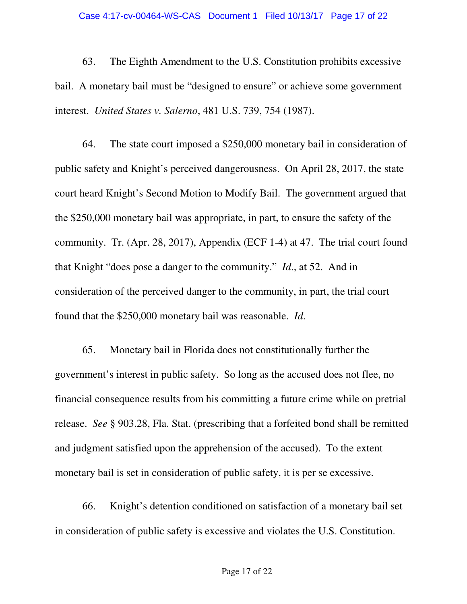#### Case 4:17-cv-00464-WS-CAS Document 1 Filed 10/13/17 Page 17 of 22

63. The Eighth Amendment to the U.S. Constitution prohibits excessive bail. A monetary bail must be "designed to ensure" or achieve some government interest. *United States v. Salerno*, 481 U.S. 739, 754 (1987).

64. The state court imposed a \$250,000 monetary bail in consideration of public safety and Knight's perceived dangerousness. On April 28, 2017, the state court heard Knight's Second Motion to Modify Bail. The government argued that the \$250,000 monetary bail was appropriate, in part, to ensure the safety of the community. Tr. (Apr. 28, 2017), Appendix (ECF 1-4) at 47. The trial court found that Knight "does pose a danger to the community." *Id*., at 52. And in consideration of the perceived danger to the community, in part, the trial court found that the \$250,000 monetary bail was reasonable. *Id*.

65. Monetary bail in Florida does not constitutionally further the government's interest in public safety. So long as the accused does not flee, no financial consequence results from his committing a future crime while on pretrial release. *See* § 903.28, Fla. Stat. (prescribing that a forfeited bond shall be remitted and judgment satisfied upon the apprehension of the accused). To the extent monetary bail is set in consideration of public safety, it is per se excessive.

66. Knight's detention conditioned on satisfaction of a monetary bail set in consideration of public safety is excessive and violates the U.S. Constitution.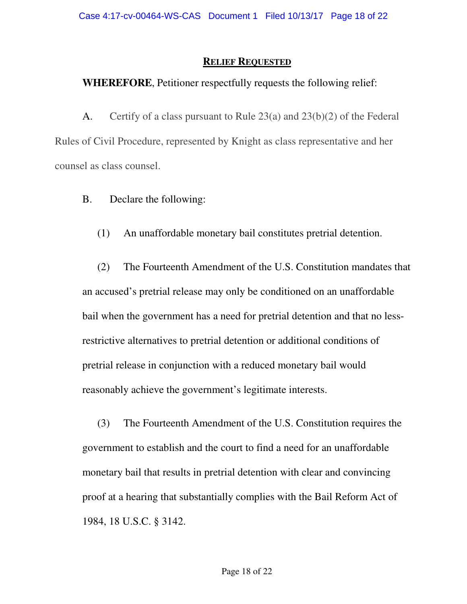### **RELIEF REQUESTED**

# **WHEREFORE**, Petitioner respectfully requests the following relief:

A. Certify of a class pursuant to Rule 23(a) and 23(b)(2) of the Federal Rules of Civil Procedure, represented by Knight as class representative and her counsel as class counsel.

B. Declare the following:

(1) An unaffordable monetary bail constitutes pretrial detention.

(2) The Fourteenth Amendment of the U.S. Constitution mandates that an accused's pretrial release may only be conditioned on an unaffordable bail when the government has a need for pretrial detention and that no lessrestrictive alternatives to pretrial detention or additional conditions of pretrial release in conjunction with a reduced monetary bail would reasonably achieve the government's legitimate interests.

(3) The Fourteenth Amendment of the U.S. Constitution requires the government to establish and the court to find a need for an unaffordable monetary bail that results in pretrial detention with clear and convincing proof at a hearing that substantially complies with the Bail Reform Act of 1984, 18 U.S.C. § 3142.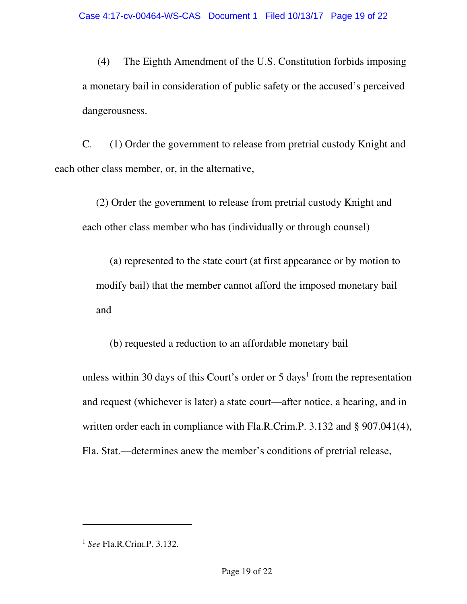(4) The Eighth Amendment of the U.S. Constitution forbids imposing a monetary bail in consideration of public safety or the accused's perceived dangerousness.

C. (1) Order the government to release from pretrial custody Knight and each other class member, or, in the alternative,

(2) Order the government to release from pretrial custody Knight and each other class member who has (individually or through counsel)

(a) represented to the state court (at first appearance or by motion to modify bail) that the member cannot afford the imposed monetary bail and

(b) requested a reduction to an affordable monetary bail

unless within 30 days of this Court's order or  $5 \text{ days}^1$  from the representation and request (whichever is later) a state court—after notice, a hearing, and in written order each in compliance with Fla.R.Crim.P. 3.132 and § 907.041(4), Fla. Stat.—determines anew the member's conditions of pretrial release,

 $\overline{a}$ 

<sup>1</sup> *See* Fla.R.Crim.P. 3.132.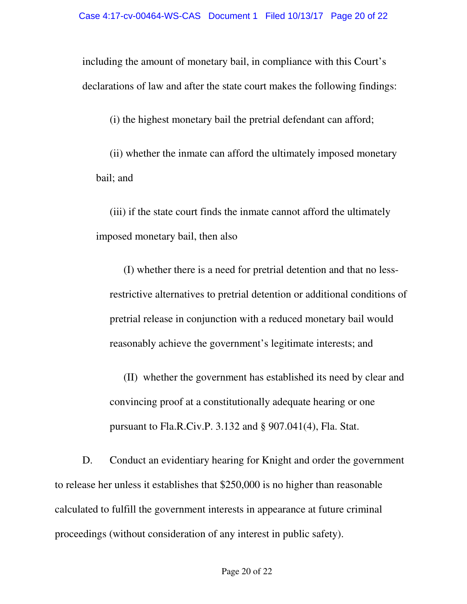including the amount of monetary bail, in compliance with this Court's declarations of law and after the state court makes the following findings:

(i) the highest monetary bail the pretrial defendant can afford;

(ii) whether the inmate can afford the ultimately imposed monetary bail; and

(iii) if the state court finds the inmate cannot afford the ultimately imposed monetary bail, then also

(I) whether there is a need for pretrial detention and that no lessrestrictive alternatives to pretrial detention or additional conditions of pretrial release in conjunction with a reduced monetary bail would reasonably achieve the government's legitimate interests; and

(II) whether the government has established its need by clear and convincing proof at a constitutionally adequate hearing or one pursuant to Fla.R.Civ.P. 3.132 and § 907.041(4), Fla. Stat.

D. Conduct an evidentiary hearing for Knight and order the government to release her unless it establishes that \$250,000 is no higher than reasonable calculated to fulfill the government interests in appearance at future criminal proceedings (without consideration of any interest in public safety).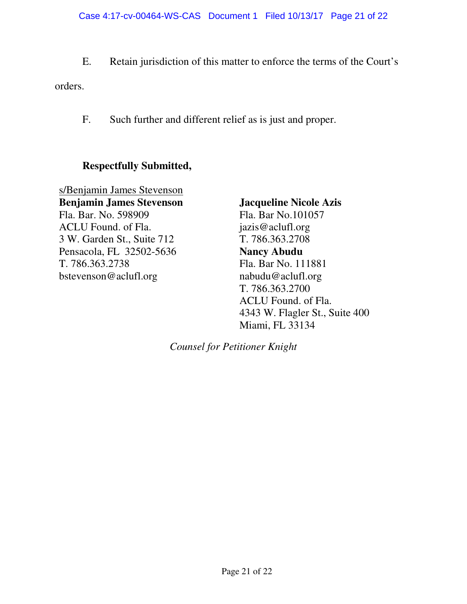E. Retain jurisdiction of this matter to enforce the terms of the Court's

orders.

F. Such further and different relief as is just and proper.

## **Respectfully Submitted,**

s/Benjamin James Stevenson **Benjamin James Stevenson**  Fla. Bar. No. 598909 ACLU Found. of Fla. 3 W. Garden St., Suite 712 Pensacola, FL 32502-5636 T. 786.363.2738 bstevenson@aclufl.org

**Jacqueline Nicole Azis**  Fla. Bar No.101057 jazis@aclufl.org T. 786.363.2708 **Nancy Abudu**  Fla. Bar No. 111881 nabudu@aclufl.org T. 786.363.2700 ACLU Found. of Fla. 4343 W. Flagler St., Suite 400 Miami, FL 33134

*Counsel for Petitioner Knight*